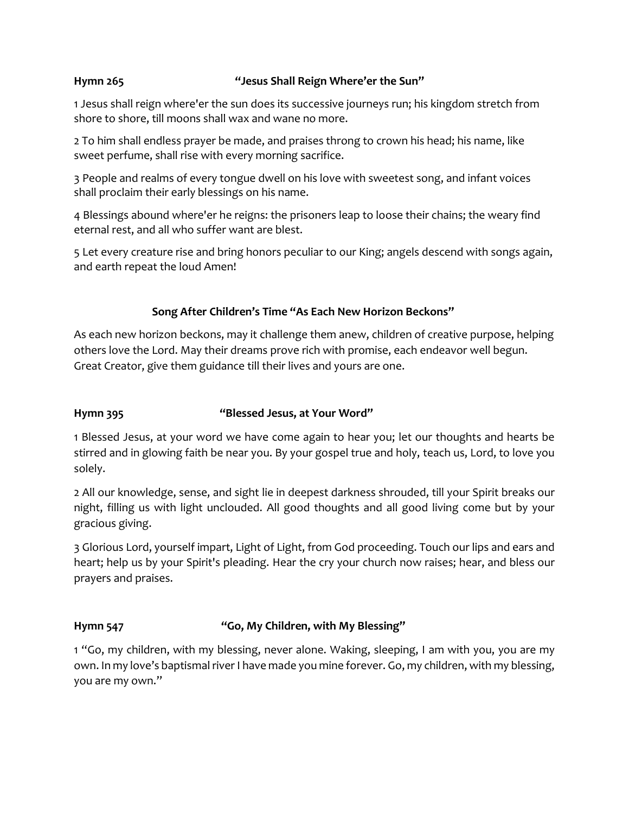## **Hymn 265 "Jesus Shall Reign Where'er the Sun"**

1 Jesus shall reign where'er the sun does its successive journeys run; his kingdom stretch from shore to shore, till moons shall wax and wane no more.

2 To him shall endless prayer be made, and praises throng to crown his head; his name, like sweet perfume, shall rise with every morning sacrifice.

3 People and realms of every tongue dwell on his love with sweetest song, and infant voices shall proclaim their early blessings on his name.

4 Blessings abound where'er he reigns: the prisoners leap to loose their chains; the weary find eternal rest, and all who suffer want are blest.

5 Let every creature rise and bring honors peculiar to our King; angels descend with songs again, and earth repeat the loud Amen!

# **Song After Children's Time "As Each New Horizon Beckons"**

As each new horizon beckons, may it challenge them anew, children of creative purpose, helping others love the Lord. May their dreams prove rich with promise, each endeavor well begun. Great Creator, give them guidance till their lives and yours are one.

# **Hymn 395 "Blessed Jesus, at Your Word"**

1 Blessed Jesus, at your word we have come again to hear you; let our thoughts and hearts be stirred and in glowing faith be near you. By your gospel true and holy, teach us, Lord, to love you solely.

2 All our knowledge, sense, and sight lie in deepest darkness shrouded, till your Spirit breaks our night, filling us with light unclouded. All good thoughts and all good living come but by your gracious giving.

3 Glorious Lord, yourself impart, Light of Light, from God proceeding. Touch our lips and ears and heart; help us by your Spirit's pleading. Hear the cry your church now raises; hear, and bless our prayers and praises.

# **Hymn 547 "Go, My Children, with My Blessing"**

1 "Go, my children, with my blessing, never alone. Waking, sleeping, I am with you, you are my own. In my love's baptismal river I have made you mine forever. Go, my children, with my blessing, you are my own."